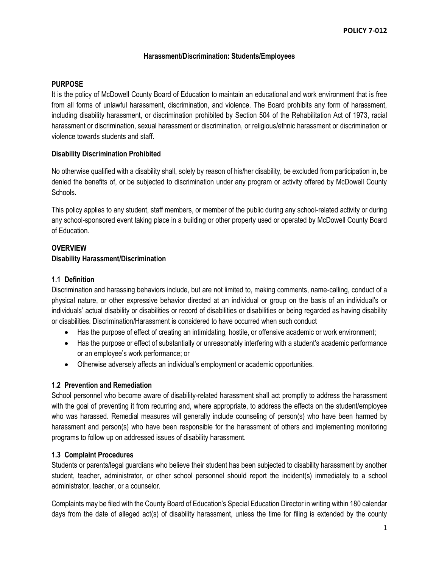## **Harassment/Discrimination: Students/Employees**

#### **PURPOSE**

It is the policy of McDowell County Board of Education to maintain an educational and work environment that is free from all forms of unlawful harassment, discrimination, and violence. The Board prohibits any form of harassment, including disability harassment, or discrimination prohibited by Section 504 of the Rehabilitation Act of 1973, racial harassment or discrimination, sexual harassment or discrimination, or religious/ethnic harassment or discrimination or violence towards students and staff.

### **Disability Discrimination Prohibited**

No otherwise qualified with a disability shall, solely by reason of his/her disability, be excluded from participation in, be denied the benefits of, or be subjected to discrimination under any program or activity offered by McDowell County Schools.

This policy applies to any student, staff members, or member of the public during any school-related activity or during any school-sponsored event taking place in a building or other property used or operated by McDowell County Board of Education.

## **OVERVIEW**

### **Disability Harassment/Discrimination**

### **1.1 Definition**

Discrimination and harassing behaviors include, but are not limited to, making comments, name-calling, conduct of a physical nature, or other expressive behavior directed at an individual or group on the basis of an individual's or individuals' actual disability or disabilities or record of disabilities or disabilities or being regarded as having disability or disabilities. Discrimination/Harassment is considered to have occurred when such conduct

- Has the purpose of effect of creating an intimidating, hostile, or offensive academic or work environment;
- Has the purpose or effect of substantially or unreasonably interfering with a student's academic performance or an employee's work performance; or
- Otherwise adversely affects an individual's employment or academic opportunities.

### **1.2 Prevention and Remediation**

School personnel who become aware of disability-related harassment shall act promptly to address the harassment with the goal of preventing it from recurring and, where appropriate, to address the effects on the student/employee who was harassed. Remedial measures will generally include counseling of person(s) who have been harmed by harassment and person(s) who have been responsible for the harassment of others and implementing monitoring programs to follow up on addressed issues of disability harassment.

## **1.3 Complaint Procedures**

Students or parents/legal guardians who believe their student has been subjected to disability harassment by another student, teacher, administrator, or other school personnel should report the incident(s) immediately to a school administrator, teacher, or a counselor.

Complaints may be filed with the County Board of Education's Special Education Director in writing within 180 calendar days from the date of alleged act(s) of disability harassment, unless the time for filing is extended by the county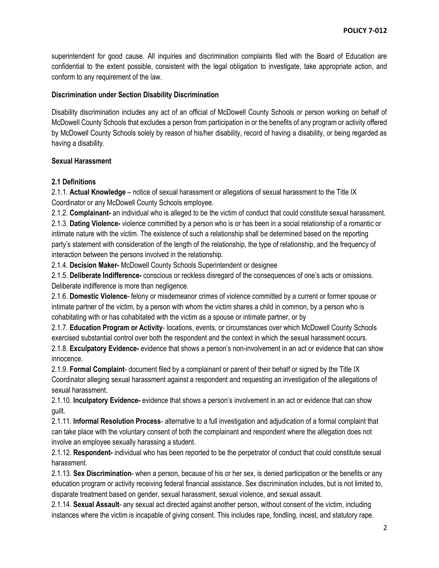superintendent for good cause. All inquiries and discrimination complaints filed with the Board of Education are confidential to the extent possible, consistent with the legal obligation to investigate, take appropriate action, and conform to any requirement of the law.

### **Discrimination under Section Disability Discrimination**

Disability discrimination includes any act of an official of McDowell County Schools or person working on behalf of McDowell County Schools that excludes a person from participation in or the benefits of any program or activity offered by McDowell County Schools solely by reason of his/her disability, record of having a disability, or being regarded as having a disability.

### **Sexual Harassment**

## **2.1 Definitions**

2.1.1. **Actual Knowledge** – notice of sexual harassment or allegations of sexual harassment to the Title IX Coordinator or any McDowell County Schools employee.

2.1.2. **Complainant-** an individual who is alleged to be the victim of conduct that could constitute sexual harassment.

2.1.3. **Dating Violence-** violence committed by a person who is or has been in a social relationship of a romantic or intimate nature with the victim. The existence of such a relationship shall be determined based on the reporting party's statement with consideration of the length of the relationship, the type of relationship, and the frequency of interaction between the persons involved in the relationship.

2.1.4. **Decision Maker-** McDowell County Schools Superintendent or designee

2.1.5. **Deliberate Indifference-** conscious or reckless disregard of the consequences of one's acts or omissions. Deliberate indifference is more than negligence.

2.1.6. **Domestic Violence**- felony or misdemeanor crimes of violence committed by a current or former spouse or intimate partner of the victim, by a person with whom the victim shares a child in common, by a person who is cohabitating with or has cohabitated with the victim as a spouse or intimate partner, or by

2.1.7. **Education Program or Activity**- locations, events, or circumstances over which McDowell County Schools exercised substantial control over both the respondent and the context in which the sexual harassment occurs.

2.1.8. **Exculpatory Evidence-** evidence that shows a person's non-involvement in an act or evidence that can show innocence.

2.1.9. **Formal Complaint**- document filed by a complainant or parent of their behalf or signed by the Title IX Coordinator alleging sexual harassment against a respondent and requesting an investigation of the allegations of sexual harassment.

2.1.10. **Inculpatory Evidence-** evidence that shows a person's involvement in an act or evidence that can show guilt.

2.1.11. **Informal Resolution Process**- alternative to a full investigation and adjudication of a formal complaint that can take place with the voluntary consent of both the complainant and respondent where the allegation does not involve an employee sexually harassing a student.

2.1.12. **Respondent-** individual who has been reported to be the perpetrator of conduct that could constitute sexual harassment.

2.1.13. **Sex Discrimination**- when a person, because of his or her sex, is denied participation or the benefits or any education program or activity receiving federal financial assistance. Sex discrimination includes, but is not limited to, disparate treatment based on gender, sexual harassment, sexual violence, and sexual assault.

2.1.14. **Sexual Assault**- any sexual act directed against another person, without consent of the victim, including instances where the victim is incapable of giving consent. This includes rape, fondling, incest, and statutory rape.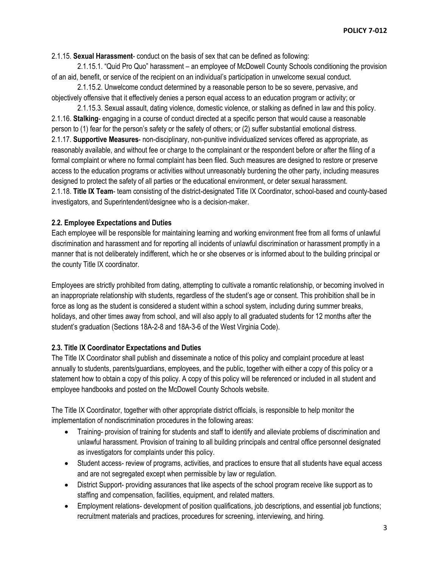2.1.15. **Sexual Harassment**- conduct on the basis of sex that can be defined as following:

2.1.15.1. "Quid Pro Quo" harassment – an employee of McDowell County Schools conditioning the provision of an aid, benefit, or service of the recipient on an individual's participation in unwelcome sexual conduct.

2.1.15.2. Unwelcome conduct determined by a reasonable person to be so severe, pervasive, and objectively offensive that it effectively denies a person equal access to an education program or activity; or

2.1.15.3. Sexual assault, dating violence, domestic violence, or stalking as defined in law and this policy. 2.1.16. **Stalking**- engaging in a course of conduct directed at a specific person that would cause a reasonable person to (1) fear for the person's safety or the safety of others; or (2) suffer substantial emotional distress. 2.1.17. **Supportive Measures**- non-disciplinary, non-punitive individualized services offered as appropriate, as reasonably available, and without fee or charge to the complainant or the respondent before or after the filing of a formal complaint or where no formal complaint has been filed. Such measures are designed to restore or preserve access to the education programs or activities without unreasonably burdening the other party, including measures designed to protect the safety of all parties or the educational environment, or deter sexual harassment. 2.1.18. **Title IX Team**- team consisting of the district-designated Title IX Coordinator, school-based and county-based investigators, and Superintendent/designee who is a decision-maker.

## **2.2. Employee Expectations and Duties**

Each employee will be responsible for maintaining learning and working environment free from all forms of unlawful discrimination and harassment and for reporting all incidents of unlawful discrimination or harassment promptly in a manner that is not deliberately indifferent, which he or she observes or is informed about to the building principal or the county Title IX coordinator.

Employees are strictly prohibited from dating, attempting to cultivate a romantic relationship, or becoming involved in an inappropriate relationship with students, regardless of the student's age or consent. This prohibition shall be in force as long as the student is considered a student within a school system, including during summer breaks, holidays, and other times away from school, and will also apply to all graduated students for 12 months after the student's graduation (Sections 18A-2-8 and 18A-3-6 of the West Virginia Code).

## **2.3. Title IX Coordinator Expectations and Duties**

The Title IX Coordinator shall publish and disseminate a notice of this policy and complaint procedure at least annually to students, parents/guardians, employees, and the public, together with either a copy of this policy or a statement how to obtain a copy of this policy. A copy of this policy will be referenced or included in all student and employee handbooks and posted on the McDowell County Schools website.

The Title IX Coordinator, together with other appropriate district officials, is responsible to help monitor the implementation of nondiscrimination procedures in the following areas:

- Training- provision of training for students and staff to identify and alleviate problems of discrimination and unlawful harassment. Provision of training to all building principals and central office personnel designated as investigators for complaints under this policy.
- Student access- review of programs, activities, and practices to ensure that all students have equal access and are not segregated except when permissible by law or regulation.
- District Support- providing assurances that like aspects of the school program receive like support as to staffing and compensation, facilities, equipment, and related matters.
- Employment relations- development of position qualifications, job descriptions, and essential job functions; recruitment materials and practices, procedures for screening, interviewing, and hiring.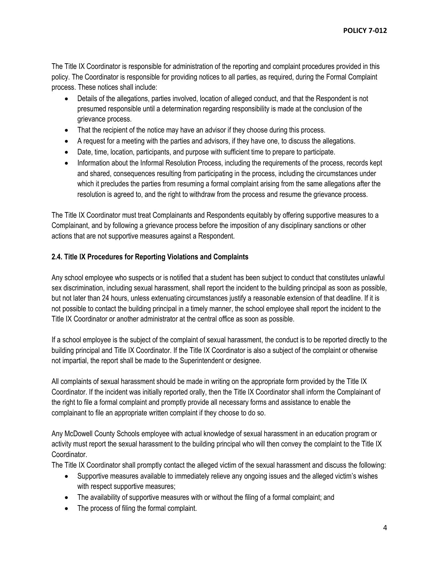The Title IX Coordinator is responsible for administration of the reporting and complaint procedures provided in this policy. The Coordinator is responsible for providing notices to all parties, as required, during the Formal Complaint process. These notices shall include:

- Details of the allegations, parties involved, location of alleged conduct, and that the Respondent is not presumed responsible until a determination regarding responsibility is made at the conclusion of the grievance process.
- That the recipient of the notice may have an advisor if they choose during this process.
- A request for a meeting with the parties and advisors, if they have one, to discuss the allegations.
- Date, time, location, participants, and purpose with sufficient time to prepare to participate.
- Information about the Informal Resolution Process, including the requirements of the process, records kept and shared, consequences resulting from participating in the process, including the circumstances under which it precludes the parties from resuming a formal complaint arising from the same allegations after the resolution is agreed to, and the right to withdraw from the process and resume the grievance process.

The Title IX Coordinator must treat Complainants and Respondents equitably by offering supportive measures to a Complainant, and by following a grievance process before the imposition of any disciplinary sanctions or other actions that are not supportive measures against a Respondent.

## **2.4. Title IX Procedures for Reporting Violations and Complaints**

Any school employee who suspects or is notified that a student has been subject to conduct that constitutes unlawful sex discrimination, including sexual harassment, shall report the incident to the building principal as soon as possible, but not later than 24 hours, unless extenuating circumstances justify a reasonable extension of that deadline. If it is not possible to contact the building principal in a timely manner, the school employee shall report the incident to the Title IX Coordinator or another administrator at the central office as soon as possible.

If a school employee is the subject of the complaint of sexual harassment, the conduct is to be reported directly to the building principal and Title IX Coordinator. If the Title IX Coordinator is also a subject of the complaint or otherwise not impartial, the report shall be made to the Superintendent or designee.

All complaints of sexual harassment should be made in writing on the appropriate form provided by the Title IX Coordinator. If the incident was initially reported orally, then the Title IX Coordinator shall inform the Complainant of the right to file a formal complaint and promptly provide all necessary forms and assistance to enable the complainant to file an appropriate written complaint if they choose to do so.

Any McDowell County Schools employee with actual knowledge of sexual harassment in an education program or activity must report the sexual harassment to the building principal who will then convey the complaint to the Title IX Coordinator.

The Title IX Coordinator shall promptly contact the alleged victim of the sexual harassment and discuss the following:

- Supportive measures available to immediately relieve any ongoing issues and the alleged victim's wishes with respect supportive measures;
- The availability of supportive measures with or without the filing of a formal complaint; and
- The process of filing the formal complaint.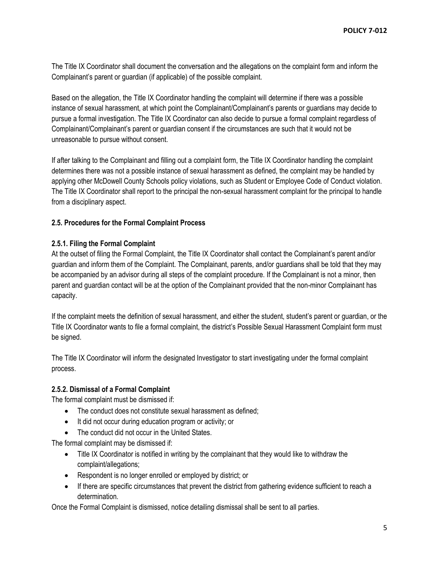The Title IX Coordinator shall document the conversation and the allegations on the complaint form and inform the Complainant's parent or guardian (if applicable) of the possible complaint.

Based on the allegation, the Title IX Coordinator handling the complaint will determine if there was a possible instance of sexual harassment, at which point the Complainant/Complainant's parents or guardians may decide to pursue a formal investigation. The Title IX Coordinator can also decide to pursue a formal complaint regardless of Complainant/Complainant's parent or guardian consent if the circumstances are such that it would not be unreasonable to pursue without consent.

If after talking to the Complainant and filling out a complaint form, the Title IX Coordinator handling the complaint determines there was not a possible instance of sexual harassment as defined, the complaint may be handled by applying other McDowell County Schools policy violations, such as Student or Employee Code of Conduct violation. The Title IX Coordinator shall report to the principal the non-sexual harassment complaint for the principal to handle from a disciplinary aspect.

## **2.5. Procedures for the Formal Complaint Process**

### **2.5.1. Filing the Formal Complaint**

At the outset of filing the Formal Complaint, the Title IX Coordinator shall contact the Complainant's parent and/or guardian and inform them of the Complaint. The Complainant, parents, and/or guardians shall be told that they may be accompanied by an advisor during all steps of the complaint procedure. If the Complainant is not a minor, then parent and guardian contact will be at the option of the Complainant provided that the non-minor Complainant has capacity.

If the complaint meets the definition of sexual harassment, and either the student, student's parent or guardian, or the Title IX Coordinator wants to file a formal complaint, the district's Possible Sexual Harassment Complaint form must be signed.

The Title IX Coordinator will inform the designated Investigator to start investigating under the formal complaint process.

#### **2.5.2. Dismissal of a Formal Complaint**

The formal complaint must be dismissed if:

- The conduct does not constitute sexual harassment as defined;
- It did not occur during education program or activity; or
- The conduct did not occur in the United States.

The formal complaint may be dismissed if:

- Title IX Coordinator is notified in writing by the complainant that they would like to withdraw the complaint/allegations;
- Respondent is no longer enrolled or employed by district; or
- If there are specific circumstances that prevent the district from gathering evidence sufficient to reach a determination.

Once the Formal Complaint is dismissed, notice detailing dismissal shall be sent to all parties.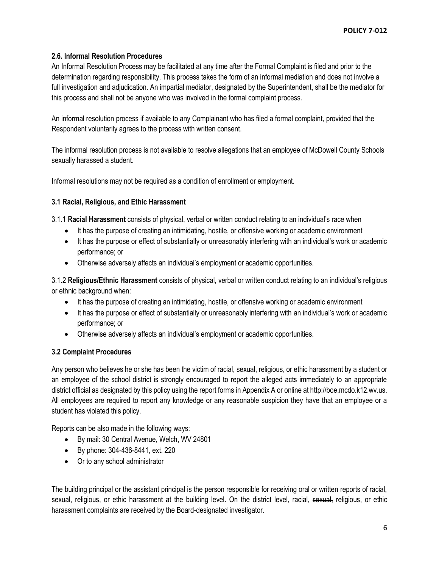# **2.6. Informal Resolution Procedures**

An Informal Resolution Process may be facilitated at any time after the Formal Complaint is filed and prior to the determination regarding responsibility. This process takes the form of an informal mediation and does not involve a full investigation and adjudication. An impartial mediator, designated by the Superintendent, shall be the mediator for this process and shall not be anyone who was involved in the formal complaint process.

An informal resolution process if available to any Complainant who has filed a formal complaint, provided that the Respondent voluntarily agrees to the process with written consent.

The informal resolution process is not available to resolve allegations that an employee of McDowell County Schools sexually harassed a student.

Informal resolutions may not be required as a condition of enrollment or employment.

## **3.1 Racial, Religious, and Ethic Harassment**

3.1.1 **Racial Harassment** consists of physical, verbal or written conduct relating to an individual's race when

- It has the purpose of creating an intimidating, hostile, or offensive working or academic environment
- It has the purpose or effect of substantially or unreasonably interfering with an individual's work or academic performance; or
- Otherwise adversely affects an individual's employment or academic opportunities.

3.1.2 **Religious/Ethnic Harassment** consists of physical, verbal or written conduct relating to an individual's religious or ethnic background when:

- It has the purpose of creating an intimidating, hostile, or offensive working or academic environment
- It has the purpose or effect of substantially or unreasonably interfering with an individual's work or academic performance; or
- Otherwise adversely affects an individual's employment or academic opportunities.

# **3.2 Complaint Procedures**

Any person who believes he or she has been the victim of racial, sexual, religious, or ethic harassment by a student or an employee of the school district is strongly encouraged to report the alleged acts immediately to an appropriate district official as designated by this policy using the report forms in Appendix A or online at http://boe.mcdo.k12.wv.us. All employees are required to report any knowledge or any reasonable suspicion they have that an employee or a student has violated this policy.

Reports can be also made in the following ways:

- By mail: 30 Central Avenue, Welch, WV 24801
- By phone: 304-436-8441, ext. 220
- Or to any school administrator

The building principal or the assistant principal is the person responsible for receiving oral or written reports of racial, sexual, religious, or ethic harassment at the building level. On the district level, racial, sexual, religious, or ethic harassment complaints are received by the Board-designated investigator.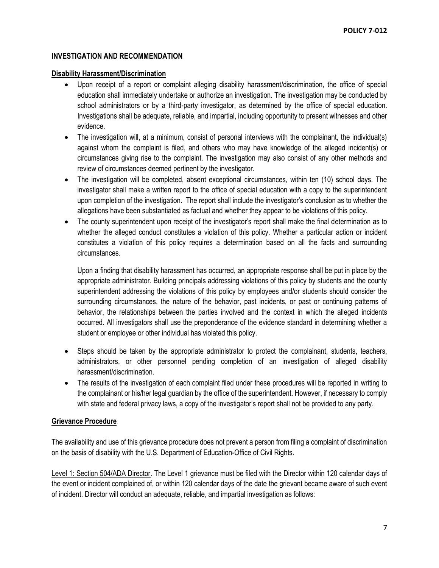## **INVESTIGATION AND RECOMMENDATION**

### **Disability Harassment/Discrimination**

- Upon receipt of a report or complaint alleging disability harassment/discrimination, the office of special education shall immediately undertake or authorize an investigation. The investigation may be conducted by school administrators or by a third-party investigator, as determined by the office of special education. Investigations shall be adequate, reliable, and impartial, including opportunity to present witnesses and other evidence.
- The investigation will, at a minimum, consist of personal interviews with the complainant, the individual(s) against whom the complaint is filed, and others who may have knowledge of the alleged incident(s) or circumstances giving rise to the complaint. The investigation may also consist of any other methods and review of circumstances deemed pertinent by the investigator.
- The investigation will be completed, absent exceptional circumstances, within ten (10) school days. The investigator shall make a written report to the office of special education with a copy to the superintendent upon completion of the investigation. The report shall include the investigator's conclusion as to whether the allegations have been substantiated as factual and whether they appear to be violations of this policy.
- The county superintendent upon receipt of the investigator's report shall make the final determination as to whether the alleged conduct constitutes a violation of this policy. Whether a particular action or incident constitutes a violation of this policy requires a determination based on all the facts and surrounding circumstances.

Upon a finding that disability harassment has occurred, an appropriate response shall be put in place by the appropriate administrator. Building principals addressing violations of this policy by students and the county superintendent addressing the violations of this policy by employees and/or students should consider the surrounding circumstances, the nature of the behavior, past incidents, or past or continuing patterns of behavior, the relationships between the parties involved and the context in which the alleged incidents occurred. All investigators shall use the preponderance of the evidence standard in determining whether a student or employee or other individual has violated this policy.

- Steps should be taken by the appropriate administrator to protect the complainant, students, teachers, administrators, or other personnel pending completion of an investigation of alleged disability harassment/discrimination.
- The results of the investigation of each complaint filed under these procedures will be reported in writing to the complainant or his/her legal guardian by the office of the superintendent. However, if necessary to comply with state and federal privacy laws, a copy of the investigator's report shall not be provided to any party.

## **Grievance Procedure**

The availability and use of this grievance procedure does not prevent a person from filing a complaint of discrimination on the basis of disability with the U.S. Department of Education-Office of Civil Rights.

Level 1: Section 504/ADA Director. The Level 1 grievance must be filed with the Director within 120 calendar days of the event or incident complained of, or within 120 calendar days of the date the grievant became aware of such event of incident. Director will conduct an adequate, reliable, and impartial investigation as follows: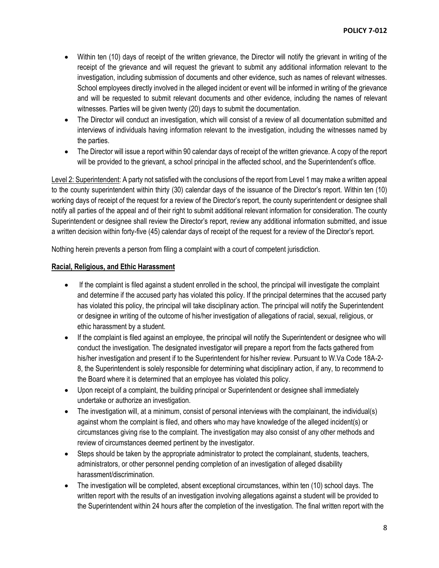- Within ten (10) days of receipt of the written grievance, the Director will notify the grievant in writing of the receipt of the grievance and will request the grievant to submit any additional information relevant to the investigation, including submission of documents and other evidence, such as names of relevant witnesses. School employees directly involved in the alleged incident or event will be informed in writing of the grievance and will be requested to submit relevant documents and other evidence, including the names of relevant witnesses. Parties will be given twenty (20) days to submit the documentation.
- The Director will conduct an investigation, which will consist of a review of all documentation submitted and interviews of individuals having information relevant to the investigation, including the witnesses named by the parties.
- The Director will issue a report within 90 calendar days of receipt of the written grievance. A copy of the report will be provided to the grievant, a school principal in the affected school, and the Superintendent's office.

Level 2: Superintendent: A party not satisfied with the conclusions of the report from Level 1 may make a written appeal to the county superintendent within thirty (30) calendar days of the issuance of the Director's report. Within ten (10) working days of receipt of the request for a review of the Director's report, the county superintendent or designee shall notify all parties of the appeal and of their right to submit additional relevant information for consideration. The county Superintendent or designee shall review the Director's report, review any additional information submitted, and issue a written decision within forty-five (45) calendar days of receipt of the request for a review of the Director's report.

Nothing herein prevents a person from filing a complaint with a court of competent jurisdiction.

### **Racial, Religious, and Ethic Harassment**

- If the complaint is filed against a student enrolled in the school, the principal will investigate the complaint and determine if the accused party has violated this policy. If the principal determines that the accused party has violated this policy, the principal will take disciplinary action. The principal will notify the Superintendent or designee in writing of the outcome of his/her investigation of allegations of racial, sexual, religious, or ethic harassment by a student.
- If the complaint is filed against an employee, the principal will notify the Superintendent or designee who will conduct the investigation. The designated investigator will prepare a report from the facts gathered from his/her investigation and present if to the Superintendent for his/her review. Pursuant to W.Va Code 18A-2- 8, the Superintendent is solely responsible for determining what disciplinary action, if any, to recommend to the Board where it is determined that an employee has violated this policy.
- Upon receipt of a complaint, the building principal or Superintendent or designee shall immediately undertake or authorize an investigation.
- The investigation will, at a minimum, consist of personal interviews with the complainant, the individual(s) against whom the complaint is filed, and others who may have knowledge of the alleged incident(s) or circumstances giving rise to the complaint. The investigation may also consist of any other methods and review of circumstances deemed pertinent by the investigator.
- Steps should be taken by the appropriate administrator to protect the complainant, students, teachers, administrators, or other personnel pending completion of an investigation of alleged disability harassment/discrimination.
- The investigation will be completed, absent exceptional circumstances, within ten (10) school days. The written report with the results of an investigation involving allegations against a student will be provided to the Superintendent within 24 hours after the completion of the investigation. The final written report with the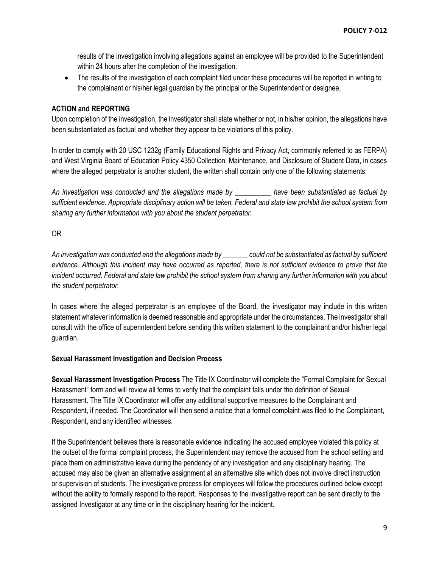results of the investigation involving allegations against an employee will be provided to the Superintendent within 24 hours after the completion of the investigation.

 The results of the investigation of each complaint filed under these procedures will be reported in writing to the complainant or his/her legal guardian by the principal or the Superintendent or designee.

## **ACTION and REPORTING**

Upon completion of the investigation, the investigator shall state whether or not, in his/her opinion, the allegations have been substantiated as factual and whether they appear to be violations of this policy.

In order to comply with 20 USC 1232g (Family Educational Rights and Privacy Act, commonly referred to as FERPA) and West Virginia Board of Education Policy 4350 Collection, Maintenance, and Disclosure of Student Data, in cases where the alleged perpetrator is another student, the written shall contain only one of the following statements:

*An investigation was conducted and the allegations made by \_\_\_\_\_\_\_\_\_\_ have been substantiated as factual by sufficient evidence. Appropriate disciplinary action will be taken. Federal and state law prohibit the school system from sharing any further information with you about the student perpetrator.* 

OR

*An investigation was conducted and the allegations made by \_\_\_\_\_\_\_ could not be substantiated as factual by sufficient evidence. Although this incident may have occurred as reported, there is not sufficient evidence to prove that the incident occurred. Federal and state law prohibit the school system from sharing any further information with you about the student perpetrator.*

In cases where the alleged perpetrator is an employee of the Board, the investigator may include in this written statement whatever information is deemed reasonable and appropriate under the circumstances. The investigator shall consult with the office of superintendent before sending this written statement to the complainant and/or his/her legal guardian.

### **Sexual Harassment Investigation and Decision Process**

**Sexual Harassment Investigation Process** The Title IX Coordinator will complete the "Formal Complaint for Sexual Harassment" form and will review all forms to verify that the complaint falls under the definition of Sexual Harassment. The Title IX Coordinator will offer any additional supportive measures to the Complainant and Respondent, if needed. The Coordinator will then send a notice that a formal complaint was filed to the Complainant, Respondent, and any identified witnesses.

If the Superintendent believes there is reasonable evidence indicating the accused employee violated this policy at the outset of the formal complaint process, the Superintendent may remove the accused from the school setting and place them on administrative leave during the pendency of any investigation and any disciplinary hearing. The accused may also be given an alternative assignment at an alternative site which does not involve direct instruction or supervision of students. The investigative process for employees will follow the procedures outlined below except without the ability to formally respond to the report. Responses to the investigative report can be sent directly to the assigned Investigator at any time or in the disciplinary hearing for the incident.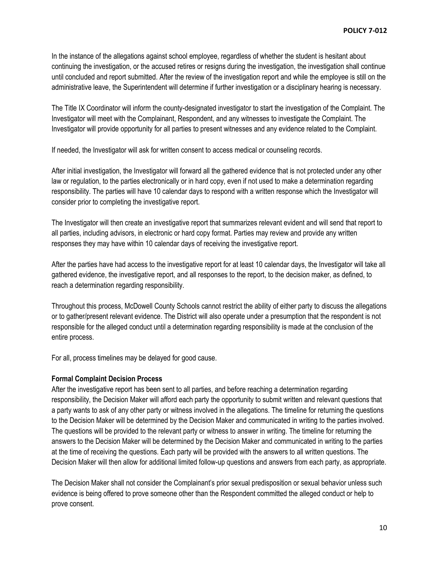In the instance of the allegations against school employee, regardless of whether the student is hesitant about continuing the investigation, or the accused retires or resigns during the investigation, the investigation shall continue until concluded and report submitted. After the review of the investigation report and while the employee is still on the administrative leave, the Superintendent will determine if further investigation or a disciplinary hearing is necessary.

The Title IX Coordinator will inform the county-designated investigator to start the investigation of the Complaint. The Investigator will meet with the Complainant, Respondent, and any witnesses to investigate the Complaint. The Investigator will provide opportunity for all parties to present witnesses and any evidence related to the Complaint.

If needed, the Investigator will ask for written consent to access medical or counseling records.

After initial investigation, the Investigator will forward all the gathered evidence that is not protected under any other law or regulation, to the parties electronically or in hard copy, even if not used to make a determination regarding responsibility. The parties will have 10 calendar days to respond with a written response which the Investigator will consider prior to completing the investigative report.

The Investigator will then create an investigative report that summarizes relevant evident and will send that report to all parties, including advisors, in electronic or hard copy format. Parties may review and provide any written responses they may have within 10 calendar days of receiving the investigative report.

After the parties have had access to the investigative report for at least 10 calendar days, the Investigator will take all gathered evidence, the investigative report, and all responses to the report, to the decision maker, as defined, to reach a determination regarding responsibility.

Throughout this process, McDowell County Schools cannot restrict the ability of either party to discuss the allegations or to gather/present relevant evidence. The District will also operate under a presumption that the respondent is not responsible for the alleged conduct until a determination regarding responsibility is made at the conclusion of the entire process.

For all, process timelines may be delayed for good cause.

## **Formal Complaint Decision Process**

After the investigative report has been sent to all parties, and before reaching a determination regarding responsibility, the Decision Maker will afford each party the opportunity to submit written and relevant questions that a party wants to ask of any other party or witness involved in the allegations. The timeline for returning the questions to the Decision Maker will be determined by the Decision Maker and communicated in writing to the parties involved. The questions will be provided to the relevant party or witness to answer in writing. The timeline for returning the answers to the Decision Maker will be determined by the Decision Maker and communicated in writing to the parties at the time of receiving the questions. Each party will be provided with the answers to all written questions. The Decision Maker will then allow for additional limited follow-up questions and answers from each party, as appropriate.

The Decision Maker shall not consider the Complainant's prior sexual predisposition or sexual behavior unless such evidence is being offered to prove someone other than the Respondent committed the alleged conduct or help to prove consent.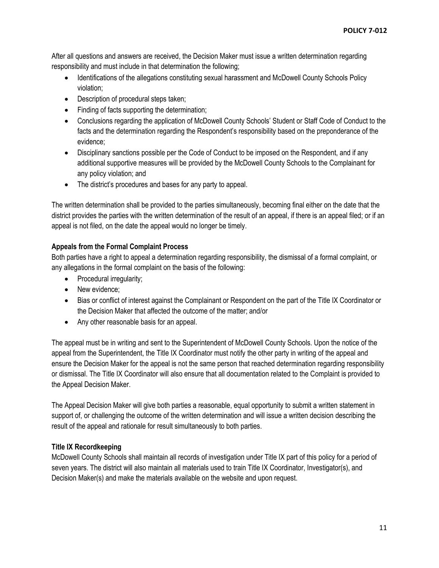After all questions and answers are received, the Decision Maker must issue a written determination regarding responsibility and must include in that determination the following;

- Identifications of the allegations constituting sexual harassment and McDowell County Schools Policy violation;
- Description of procedural steps taken;
- Finding of facts supporting the determination;
- Conclusions regarding the application of McDowell County Schools' Student or Staff Code of Conduct to the facts and the determination regarding the Respondent's responsibility based on the preponderance of the evidence;
- Disciplinary sanctions possible per the Code of Conduct to be imposed on the Respondent, and if any additional supportive measures will be provided by the McDowell County Schools to the Complainant for any policy violation; and
- The district's procedures and bases for any party to appeal.

The written determination shall be provided to the parties simultaneously, becoming final either on the date that the district provides the parties with the written determination of the result of an appeal, if there is an appeal filed; or if an appeal is not filed, on the date the appeal would no longer be timely.

## **Appeals from the Formal Complaint Process**

Both parties have a right to appeal a determination regarding responsibility, the dismissal of a formal complaint, or any allegations in the formal complaint on the basis of the following:

- Procedural irregularity;
- New evidence:
- Bias or conflict of interest against the Complainant or Respondent on the part of the Title IX Coordinator or the Decision Maker that affected the outcome of the matter; and/or
- Any other reasonable basis for an appeal.

The appeal must be in writing and sent to the Superintendent of McDowell County Schools. Upon the notice of the appeal from the Superintendent, the Title IX Coordinator must notify the other party in writing of the appeal and ensure the Decision Maker for the appeal is not the same person that reached determination regarding responsibility or dismissal. The Title IX Coordinator will also ensure that all documentation related to the Complaint is provided to the Appeal Decision Maker.

The Appeal Decision Maker will give both parties a reasonable, equal opportunity to submit a written statement in support of, or challenging the outcome of the written determination and will issue a written decision describing the result of the appeal and rationale for result simultaneously to both parties.

## **Title IX Recordkeeping**

McDowell County Schools shall maintain all records of investigation under Title IX part of this policy for a period of seven years. The district will also maintain all materials used to train Title IX Coordinator, Investigator(s), and Decision Maker(s) and make the materials available on the website and upon request.